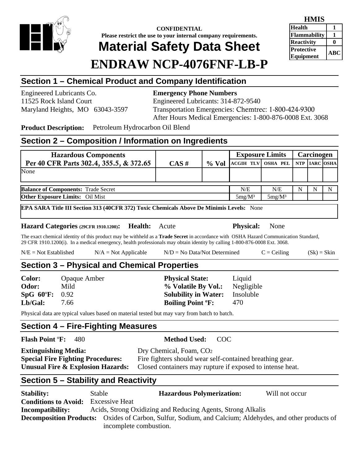

### **CONFIDENTIAL Please restrict the use to your internal company requirements. Material Safety Data Sheet**

### **HMIS Health 1 Flammability 1 Reactivity** 0 **Protective Equipment ABC**

# **ENDRAW NCP-4076FNF-LB-P**

# **Section 1 – Chemical Product and Company Identification**

Engineered Lubricants Co. **Emergency Phone Numbers** 

# 11525 Rock Island Court Engineered Lubricants: 314-872-9540 Maryland Heights, MO 63043-3597 Transportation Emergencies: Chemtrec: 1-800-424-9300 After Hours Medical Emergencies: 1-800-876-0008 Ext. 3068

**Product Description:** Petroleum Hydrocarbon Oil Blend

# **Section 2 – Composition / Information on Ingredients**

| <b>Hazardous Components</b>                                                              |          |          | <b>Exposure Limits</b> |                 |   | Carcinogen    |   |
|------------------------------------------------------------------------------------------|----------|----------|------------------------|-----------------|---|---------------|---|
| Per 40 CFR Parts 302.4, 355.5, & 372.65                                                  | $CAS \#$ | $\%$ Vol | <b>ACGIH TLV</b>       | <b>OSHA PEL</b> |   | NTP IARC OSHA |   |
| None                                                                                     |          |          |                        |                 |   |               |   |
| <b>Balance of Components: Trade Secret</b>                                               |          |          | N/E                    | N/E             | N |               | N |
| <b>Other Exposure Limits:</b> Oil Mist                                                   |          |          | $5mg/M^3$              | $5mg/M^3$       |   |               |   |
| EPA SARA Title III Section 313 (40CFR 372) Toxic Chemicals Above De Minimis Levels: None |          |          |                        |                 |   |               |   |

### **Hazard Categories (29CFR 1910.1200): Health:** Acute **Physical:** None

The exact chemical identity of this product may be withheld as a **Trade Secret** in accordance with OSHA Hazard Communication Standard, 29 CFR 1910.1200(i). In a medical emergency, health professionals may obtain identity by calling 1-800-876-0008 Ext. 3068.

| $N/E = Not Established$ | $N/A = Not Applicable$ | $N/D = No Data/Not Determine$ | $C = Ceiling$ | $(Sk) = Skin$ |
|-------------------------|------------------------|-------------------------------|---------------|---------------|
|-------------------------|------------------------|-------------------------------|---------------|---------------|

### **Section 3 – Physical and Chemical Properties**

**Color:** Opaque Amber **Physical State:** Liquid **Odor:** Mild **% Volatile By Vol.:** Negligible **SpG 60**º**F:** 0.92 **Solubility in Water:** Insoluble **Lb/Gal:** 7.66 **Boiling Point ºF:** 470

Physical data are typical values based on material tested but may vary from batch to batch.

# **Section 4 – Fire-Fighting Measures**

**Flash Point** º**F:** 480 **Method Used:** COC

**Extinguishing Media:** Dry Chemical, Foam, CO<sub>2</sub>

**Special Fire Fighting Procedures:** Fire fighters should wear self-contained breathing gear. **Unusual Fire & Explosion Hazards:** Closed containers may rupture if exposed to intense heat.

# **Section 5 – Stability and Reactivity**

| <b>Stability:</b>           | Stable                 | <b>Hazardous Polymerization:</b>                                                                               | Will not occur |
|-----------------------------|------------------------|----------------------------------------------------------------------------------------------------------------|----------------|
| <b>Conditions to Avoid:</b> | <b>Excessive Heat</b>  |                                                                                                                |                |
| Incompatibility:            |                        | Acids, Strong Oxidizing and Reducing Agents, Strong Alkalis                                                    |                |
|                             |                        | <b>Decomposition Products:</b> Oxides of Carbon, Sulfur, Sodium, and Calcium; Aldehydes, and other products of |                |
|                             | incomplete combustion. |                                                                                                                |                |